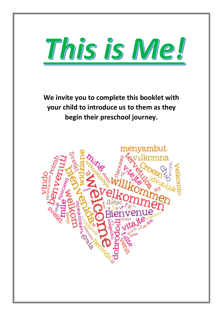

**We invite you to complete this booklet with your child to introduce us to them as they begin their preschool journey.**

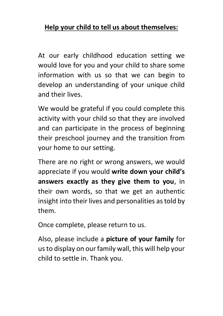## **Help your child to tell us about themselves:**

At our early childhood education setting we would love for you and your child to share some information with us so that we can begin to develop an understanding of your unique child and their lives.

We would be grateful if you could complete this activity with your child so that they are involved and can participate in the process of beginning their preschool journey and the transition from your home to our setting.

There are no right or wrong answers, we would appreciate if you would **write down your child's answers exactly as they give them to you**, in their own words, so that we get an authentic insight into their lives and personalities as told by them.

Once complete, please return to us.

Also, please include a **picture of your family** for us to display on our family wall, this will help your child to settle in. Thank you.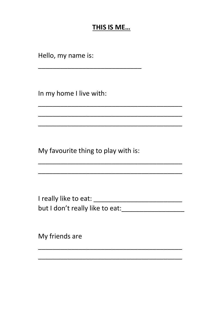## THIS IS ME...

Hello, my name is:

In my home I live with:

My favourite thing to play with is:

but I don't really like to eat:

My friends are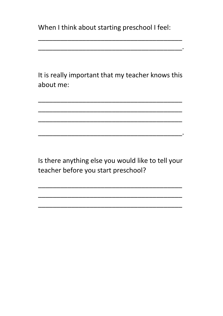When I think about starting preschool I feel:

\_\_\_\_\_\_\_\_\_\_\_\_\_\_\_\_\_\_\_\_\_\_\_\_\_\_\_\_\_\_\_\_\_\_\_\_\_\_\_ \_\_\_\_\_\_\_\_\_\_\_\_\_\_\_\_\_\_\_\_\_\_\_\_\_\_\_\_\_\_\_\_\_\_\_\_\_\_\_.

It is really important that my teacher knows this about me:

\_\_\_\_\_\_\_\_\_\_\_\_\_\_\_\_\_\_\_\_\_\_\_\_\_\_\_\_\_\_\_\_\_\_\_\_\_\_\_

\_\_\_\_\_\_\_\_\_\_\_\_\_\_\_\_\_\_\_\_\_\_\_\_\_\_\_\_\_\_\_\_\_\_\_\_\_\_\_

\_\_\_\_\_\_\_\_\_\_\_\_\_\_\_\_\_\_\_\_\_\_\_\_\_\_\_\_\_\_\_\_\_\_\_\_\_\_\_.

 $\mathcal{L}_\mathcal{L}$  , and the set of the set of the set of the set of the set of the set of the set of the set of the set of the set of the set of the set of the set of the set of the set of the set of the set of the set of th

Is there anything else you would like to tell your teacher before you start preschool?

\_\_\_\_\_\_\_\_\_\_\_\_\_\_\_\_\_\_\_\_\_\_\_\_\_\_\_\_\_\_\_\_\_\_\_\_\_\_\_ \_\_\_\_\_\_\_\_\_\_\_\_\_\_\_\_\_\_\_\_\_\_\_\_\_\_\_\_\_\_\_\_\_\_\_\_\_\_\_ \_\_\_\_\_\_\_\_\_\_\_\_\_\_\_\_\_\_\_\_\_\_\_\_\_\_\_\_\_\_\_\_\_\_\_\_\_\_\_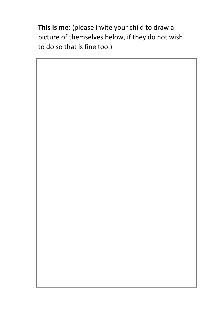**This is me:** (please invite your child to draw a picture of themselves below, if they do not wish to do so that is fine too.)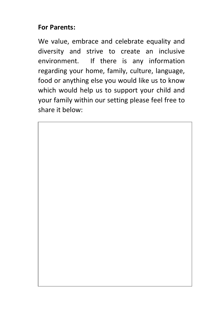## **For Parents:**

We value, embrace and celebrate equality and diversity and strive to create an inclusive environment. If there is any information regarding your home, family, culture, language, food or anything else you would like us to know which would help us to support your child and your family within our setting please feel free to share it below: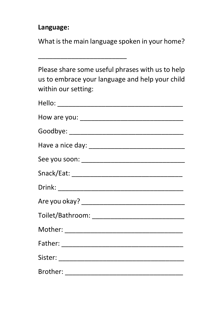**Language:**

What is the main language spoken in your home?

\_\_\_\_\_\_\_\_\_\_\_\_\_\_\_\_\_\_\_\_\_\_\_\_

Please share some useful phrases with us to help us to embrace your language and help your child within our setting: